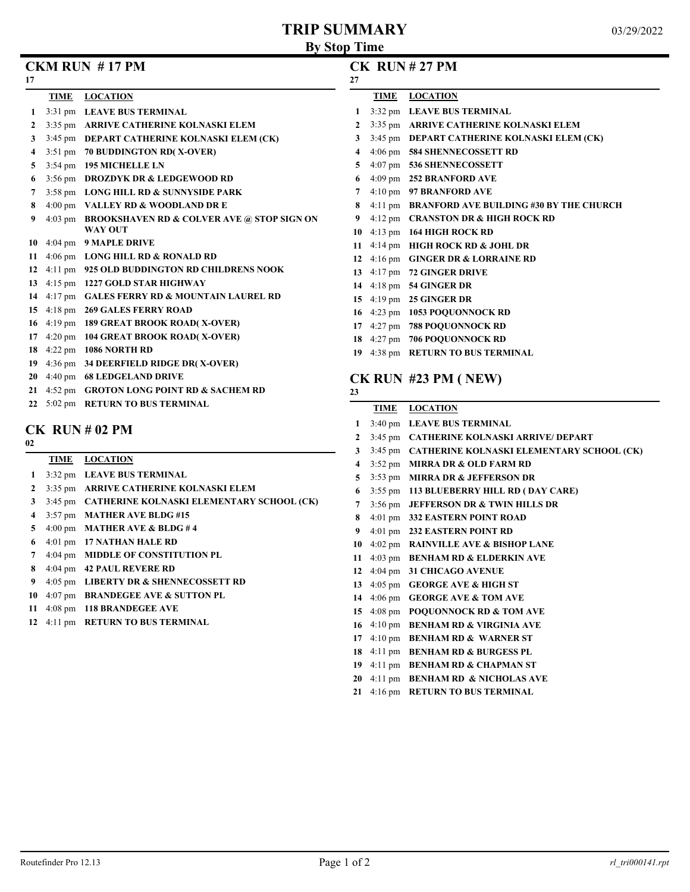# **TRIP SUMMARY**

| 17           |      | $CKM$ RUN $#17$ PM                                 | 27 |             | $CK$ RUN $#27$ PM                         |
|--------------|------|----------------------------------------------------|----|-------------|-------------------------------------------|
|              | TIME | <b>LOCATION</b>                                    |    | <b>TIME</b> | <b>LOCATION</b>                           |
| $\mathbf{1}$ |      | 3:31 pm LEAVE BUS TERMINAL                         |    |             | 1 3:32 pm LEAVE BUS TERMINAL              |
| 2            |      | 3:35 pm ARRIVE CATHERINE KOLNASKI ELEM             |    |             | 3:35 pm ARRIVE CATHERINE KOLNA            |
| 3            |      | 3:45 pm DEPART CATHERINE KOLNASKI ELEM (CK)        | 3  |             | 3:45 pm DEPART CATHERINE KOLNA            |
| 4            |      | 3:51 pm 70 BUDDINGTON RD(X-OVER)                   | 4  |             | 4:06 pm 584 SHENNECOSSETT RD              |
| 5            |      | 3:54 pm 195 MICHELLE LN                            | 5  |             | 4:07 pm 536 SHENNECOSSETT                 |
| 6            |      | 3:56 pm DROZDYK DR & LEDGEWOOD RD                  |    |             | 4:09 pm 252 BRANFORD AVE                  |
|              |      | 3:58 pm LONG HILL RD & SUNNYSIDE PARK              |    |             | 4:10 pm 97 BRANFORD AVE                   |
| 8            |      | 4:00 pm VALLEY RD & WOODLAND DR E                  | 8  |             | 4:11 pm BRANFORD AVE BUILDING #           |
| 9            |      | 4:03 pm BROOKSHAVEN RD & COLVER AVE @ STOP SIGN ON | 9  |             | 4:12 pm <b>CRANSTON DR &amp; HIGH ROC</b> |
|              |      | <b>WAY OUT</b>                                     | 10 |             | $4:13$ pm $164$ HIGH ROCK RD              |
| 10           |      | 4:04 pm 9 MAPLE DRIVE                              | 11 |             | 4:14 pm HIGH ROCK RD & JOHL DR            |
| 11           |      | 4:06 pm LONG HILL RD & RONALD RD                   | 12 |             | 4:16 pm GINGER DR $&$ LORRAINE RD         |
| 12           |      | 4:11 pm 925 OLD BUDDINGTON RD CHILDRENS NOOK       | 13 |             | 4:17 pm 72 GINGER DRIVE                   |
| 13           |      | 4:15 pm 1227 GOLD STAR HIGHWAY                     |    |             | 14 4:18 pm 54 GINGER DR                   |
| 14           |      | 4:17 pm GALES FERRY RD & MOUNTAIN LAUREL RD        |    |             | 15 4:19 pm 25 GINGER DR                   |
| 15           |      | 4:18 pm 269 GALES FERRY ROAD                       |    |             | 16 4:23 pm 1053 POQUONNOCK RD             |
| 16           |      | 4:19 pm 189 GREAT BROOK ROAD(X-OVER)               | 17 |             | 4:27 pm 788 POQUONNOCK RD                 |
| 17           |      | 4:20 pm 104 GREAT BROOK ROAD(X-OVER)               | 18 |             | 4:27 pm 706 POQUONNOCK RD                 |
| 18           |      | 4:22 pm 1086 NORTH RD                              |    |             | 19 4:38 pm RETURN TO BUS TERMINAL         |
| 19           |      | 4:36 pm 34 DEERFIELD RIDGE DR(X-OVER)              |    |             |                                           |
| 20           |      | 4:40 pm 68 LEDGELAND DRIVE                         |    |             | $CK$ RUN #23 PM (NEW)                     |
| 21           |      | 4:52 pm GROTON LONG POINT RD & SACHEM RD           | 23 |             |                                           |

5:02 pm **RETURN TO BUS TERMINAL**

### **CK RUN # 02 PM**

|                | TIME | <b>LOCATION</b>                                   |
|----------------|------|---------------------------------------------------|
| $\mathbf{1}$   |      | 3:32 pm LEAVE BUS TERMINAL                        |
| $\mathbf{2}$   |      | 3:35 pm ARRIVE CATHERINE KOLNASKI ELEM            |
| 3              |      | 3:45 pm CATHERINE KOLNASKI ELEMENTARY SCHOOL (CK) |
| 4              |      | 3:57 pm MATHER AVE BLDG #15                       |
| 5              |      | 4:00 pm MATHER AVE & BLDG #4                      |
| 6              |      | 4:01 pm 17 NATHAN HALE RD                         |
| $\overline{7}$ |      | 4:04 pm MIDDLE OF CONSTITUTION PL                 |
| 8              |      | 4:04 pm 42 PAUL REVERE RD                         |
| 9              |      | 4:05 pm LIBERTY DR & SHENNECOSSETT RD             |
| 10             |      | 4:07 pm BRANDEGEE AVE & SUTTON PL                 |
| 11             |      | 4:08 pm 118 BRANDEGEE AVE                         |
| 12             |      | 4:11 pm RETURN TO BUS TERMINAL                    |

## **CK RUN # 27 PM**

| 27           |                        |                                                |
|--------------|------------------------|------------------------------------------------|
|              | TIME                   | <b>LOCATION</b>                                |
| 1            |                        | 3:32 pm LEAVE BUS TERMINAL                     |
| $\mathbf{2}$ | $3:35 \text{ pm}$      | ARRIVE CATHERINE KOLNASKI ELEM                 |
| 3            | $3:45 \text{ pm}$      | DEPART CATHERINE KOLNASKI ELEM (CK)            |
| 4            | $4:06 \text{ pm}$      | <b>584 SHENNECOSSETT RD</b>                    |
| 5            | $4:07 \text{ pm}$      | 536 SHENNECOSSETT                              |
| 6            | $4:09$ pm              | <b>252 BRANFORD AVE</b>                        |
| 7            | $4:10 \text{ pm}$      | 97 BRANFORD AVE                                |
| 8            | $4:11 \text{ pm}$      | <b>BRANFORD AVE BUILDING #30 BY THE CHURCH</b> |
| 9            | $4:12 \text{ pm}$      | <b>CRANSTON DR &amp; HIGH ROCK RD</b>          |
| 10           | $4:13 \text{ pm}$      | <b>164 HIGH ROCK RD</b>                        |
| 11           | $4:14 \text{ pm}$      | <b>HIGH ROCK RD &amp; JOHL DR</b>              |
| 12           | $4:16 \text{ pm}$      | <b>GINGER DR &amp; LORRAINE RD</b>             |
| 13           | $4:17 \text{ pm}$      | <b>72 GINGER DRIVE</b>                         |
| 14           | $4:18 \text{ pm}$      | <b>54 GINGER DR</b>                            |
| 15           | $4:19 \text{ pm}$      | <b>25 GINGER DR</b>                            |
| 16           | $4:23$ pm              | <b>1053 POQUONNOCK RD</b>                      |
| 17           | $4:27$ pm              | <b>788 POOUONNOCK RD</b>                       |
|              | 19 $4.27 \, \text{nm}$ | 706 DOOLIONNOCK DD                             |

|                | <b>TIME</b>       | <b>LOCATION</b>                                   |
|----------------|-------------------|---------------------------------------------------|
| 1              |                   | 3:40 pm LEAVE BUS TERMINAL                        |
| $\mathbf{2}$   |                   | 3:45 pm CATHERINE KOLNASKI ARRIVE/ DEPART         |
| 3              |                   | 3:45 pm CATHERINE KOLNASKI ELEMENTARY SCHOOL (CK) |
| 4              |                   | 3:52 pm MIRRA DR & OLD FARM RD                    |
| 5 <sup>5</sup> |                   | 3:53 pm MIRRA DR & JEFFERSON DR                   |
| 6              |                   | 3:55 pm 113 BLUEBERRY HILL RD (DAY CARE)          |
| 7              |                   | 3:56 pm JEFFERSON DR & TWIN HILLS DR              |
| 8              |                   | 4:01 pm 332 EASTERN POINT ROAD                    |
| 9              |                   | 4:01 pm 232 EASTERN POINT RD                      |
| 10             |                   | 4:02 pm RAINVILLE AVE & BISHOP LANE               |
| 11             | $4:03$ pm         | <b>BENHAM RD &amp; ELDERKIN AVE</b>               |
| 12             | $4:04 \text{ pm}$ | <b>31 CHICAGO AVENUE</b>                          |
| 13             |                   | 4:05 pm GEORGE AVE & HIGH ST                      |
| 14             | $4:06 \text{ pm}$ | <b>GEORGE AVE &amp; TOM AVE</b>                   |
| 15             |                   | 4:08 pm POQUONNOCK RD & TOM AVE                   |
|                |                   | 16 4:10 pm BENHAM RD & VIRGINIA AVE               |
| 17             | $4:10 \text{ pm}$ | <b>BENHAM RD &amp; WARNER ST</b>                  |
| 18             | $4:11$ pm         | <b>BENHAM RD &amp; BURGESS PL</b>                 |
| 19             | $4:11$ pm         | <b>BENHAM RD &amp; CHAPMAN ST</b>                 |
| 20             | $4:11$ pm         | <b>BENHAM RD &amp; NICHOLAS AVE</b>               |
| 21             | $4:16 \text{ pm}$ | <b>RETURN TO BUS TERMINAL</b>                     |